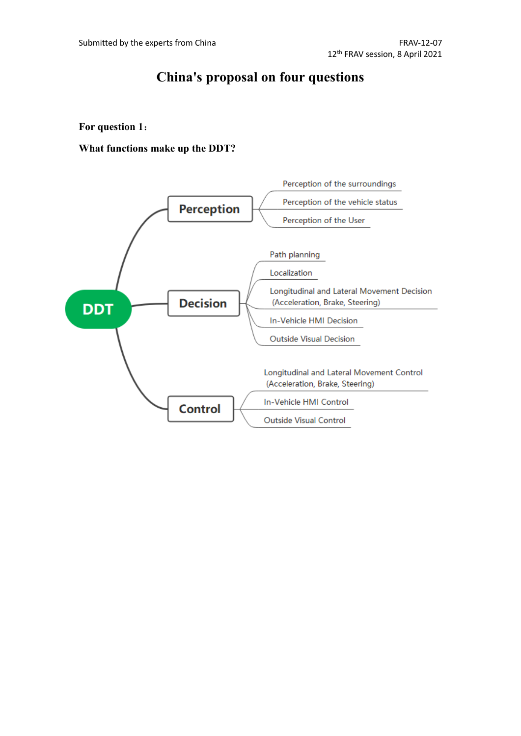# **China's proposal on four questions**

#### **For question 1**:

**What functions make up the DDT?**

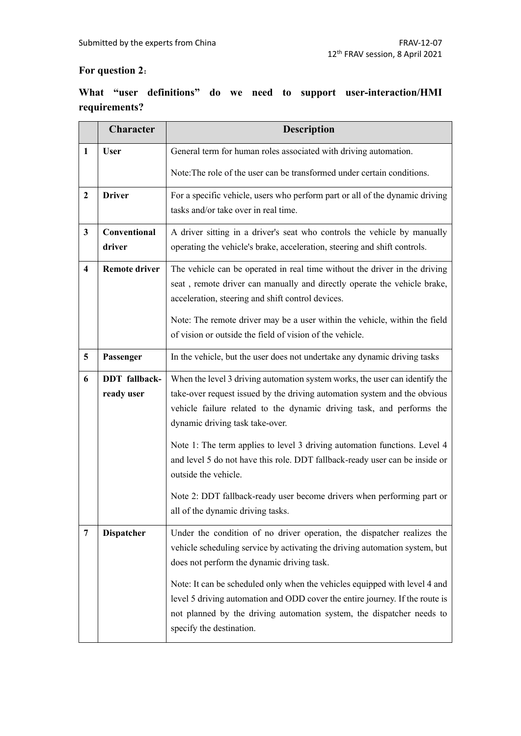## **For question 2**:

# **What "user definitions" do we need to support user-interaction/HMI requirements?**

|                         | Character            | <b>Description</b>                                                                                                                                 |
|-------------------------|----------------------|----------------------------------------------------------------------------------------------------------------------------------------------------|
| $\mathbf{1}$            | <b>User</b>          | General term for human roles associated with driving automation.                                                                                   |
|                         |                      | Note: The role of the user can be transformed under certain conditions.                                                                            |
| $\boldsymbol{2}$        | <b>Driver</b>        | For a specific vehicle, users who perform part or all of the dynamic driving                                                                       |
|                         |                      | tasks and/or take over in real time.                                                                                                               |
| 3                       | Conventional         | A driver sitting in a driver's seat who controls the vehicle by manually                                                                           |
|                         | driver               | operating the vehicle's brake, acceleration, steering and shift controls.                                                                          |
| $\overline{\mathbf{4}}$ | <b>Remote driver</b> | The vehicle can be operated in real time without the driver in the driving                                                                         |
|                         |                      | seat, remote driver can manually and directly operate the vehicle brake,<br>acceleration, steering and shift control devices.                      |
|                         |                      | Note: The remote driver may be a user within the vehicle, within the field                                                                         |
|                         |                      | of vision or outside the field of vision of the vehicle.                                                                                           |
| 5                       | Passenger            | In the vehicle, but the user does not undertake any dynamic driving tasks                                                                          |
|                         |                      |                                                                                                                                                    |
| 6                       | <b>DDT</b> fallback- | When the level 3 driving automation system works, the user can identify the                                                                        |
|                         | ready user           | take-over request issued by the driving automation system and the obvious<br>vehicle failure related to the dynamic driving task, and performs the |
|                         |                      | dynamic driving task take-over.                                                                                                                    |
|                         |                      | Note 1: The term applies to level 3 driving automation functions. Level 4                                                                          |
|                         |                      | and level 5 do not have this role. DDT fallback-ready user can be inside or                                                                        |
|                         |                      | outside the vehicle.                                                                                                                               |
|                         |                      | Note 2: DDT fallback-ready user become drivers when performing part or                                                                             |
|                         |                      | all of the dynamic driving tasks.                                                                                                                  |
| 7                       | <b>Dispatcher</b>    | Under the condition of no driver operation, the dispatcher realizes the                                                                            |
|                         |                      | vehicle scheduling service by activating the driving automation system, but                                                                        |
|                         |                      | does not perform the dynamic driving task.                                                                                                         |
|                         |                      | Note: It can be scheduled only when the vehicles equipped with level 4 and                                                                         |
|                         |                      | level 5 driving automation and ODD cover the entire journey. If the route is                                                                       |
|                         |                      | not planned by the driving automation system, the dispatcher needs to<br>specify the destination.                                                  |
|                         |                      |                                                                                                                                                    |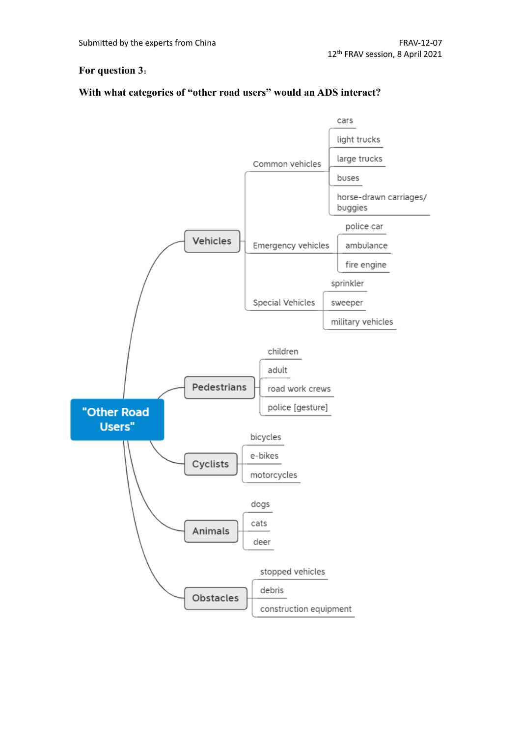#### **For question 3**:

## **With what categories of "other road users" would an ADS interact?**